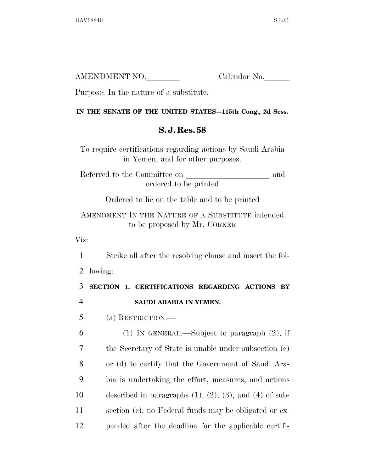| AMENDMENT NO. | Calendar No. |
|---------------|--------------|
|               |              |

Purpose: In the nature of a substitute.

## **IN THE SENATE OF THE UNITED STATES—115th Cong., 2d Sess.**

## **S. J. Res. 58**

To require certifications regarding actions by Saudi Arabia in Yemen, and for other purposes.

Referred to the Committee on and ordered to be printed

Ordered to lie on the table and to be printed

AMENDMENT IN THE NATURE OF A SUBSTITUTE intended to be proposed by Mr. CORKER

Viz:

1 Strike all after the resolving clause and insert the fol-

2 lowing:

3 **SECTION 1. CERTIFICATIONS REGARDING ACTIONS BY**  4 **SAUDI ARABIA IN YEMEN.** 

5 (a) RESTRICTION.—

 (1) IN GENERAL.—Subject to paragraph (2), if the Secretary of State is unable under subsection (c) or (d) to certify that the Government of Saudi Ara- bia is undertaking the effort, measures, and actions 10 described in paragraphs  $(1)$ ,  $(2)$ ,  $(3)$ , and  $(4)$  of sub- section (c), no Federal funds may be obligated or ex-pended after the deadline for the applicable certifi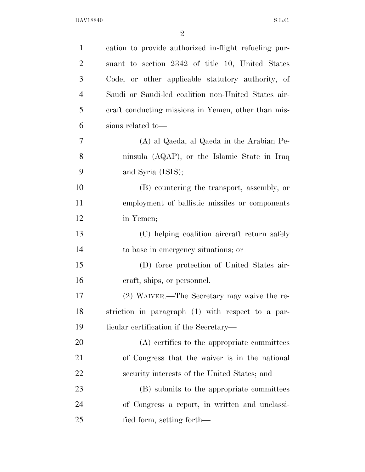| $\mathbf{1}$   | cation to provide authorized in-flight refueling pur- |
|----------------|-------------------------------------------------------|
| $\overline{2}$ | suant to section 2342 of title 10, United States      |
| 3              | Code, or other applicable statutory authority, of     |
| $\overline{4}$ | Saudi or Saudi-led coalition non-United States air-   |
| 5              | eraft conducting missions in Yemen, other than mis-   |
| 6              | sions related to-                                     |
| $\tau$         | (A) al Qaeda, al Qaeda in the Arabian Pe-             |
| 8              | ninsula (AQAP), or the Islamic State in Iraq          |
| 9              | and Syria (ISIS);                                     |
| 10             | (B) countering the transport, assembly, or            |
| 11             | employment of ballistic missiles or components        |
| 12             | in Yemen;                                             |
| 13             | (C) helping coalition aircraft return safely          |
| 14             | to base in emergency situations; or                   |
| 15             | (D) force protection of United States air-            |
| 16             | craft, ships, or personnel.                           |
| 17             | (2) WAIVER.—The Secretary may waive the re-           |
| 18             | striction in paragraph (1) with respect to a par-     |
| 19             | ticular certification if the Secretary—               |
| 20             | (A) certifies to the appropriate committees           |
| 21             | of Congress that the waiver is in the national        |
| 22             | security interests of the United States; and          |
| 23             | (B) submits to the appropriate committees             |
| 24             | of Congress a report, in written and unclassi-        |
| 25             | fied form, setting forth—                             |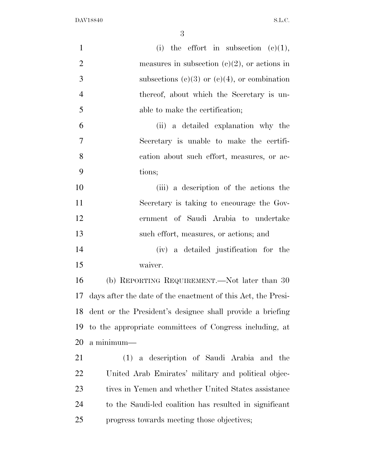| $\mathbf{1}$   | (i) the effort in subsection $(e)(1)$ ,                      |
|----------------|--------------------------------------------------------------|
| $\overline{2}$ | measures in subsection (c)(2), or actions in                 |
| 3              | subsections (c)(3) or (c)(4), or combination                 |
| $\overline{4}$ | thereof, about which the Secretary is un-                    |
| 5              | able to make the certification;                              |
| 6              | (ii) a detailed explanation why the                          |
| 7              | Secretary is unable to make the certifi-                     |
| 8              | cation about such effort, measures, or ac-                   |
| 9              | tions;                                                       |
| 10             | (iii) a description of the actions the                       |
| 11             | Secretary is taking to encourage the Gov-                    |
| 12             | ernment of Saudi Arabia to undertake                         |
| 13             | such effort, measures, or actions; and                       |
| 14             | (iv) a detailed justification for the                        |
| 15             | waiver.                                                      |
| 16             | (b) REPORTING REQUIREMENT.—Not later than 30                 |
| 17             | days after the date of the enactment of this Act, the Presi- |
|                | 18 dent or the President's designee shall provide a briefing |
| 19             | to the appropriate committees of Congress including, at      |
| 20             | a minimum—                                                   |
| 21             | (1) a description of Saudi Arabia and the                    |
| 22             | United Arab Emirates' military and political objec-          |
| 23             | tives in Yemen and whether United States assistance          |
| 24             | to the Saudi-led coalition has resulted in significant       |
| 25             | progress towards meeting those objectives;                   |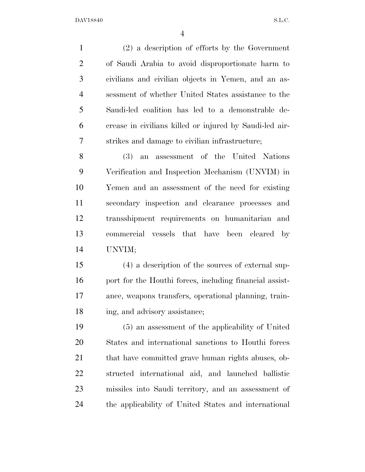(2) a description of efforts by the Government of Saudi Arabia to avoid disproportionate harm to civilians and civilian objects in Yemen, and an as- sessment of whether United States assistance to the Saudi-led coalition has led to a demonstrable de- crease in civilians killed or injured by Saudi-led air-strikes and damage to civilian infrastructure;

 (3) an assessment of the United Nations Verification and Inspection Mechanism (UNVIM) in Yemen and an assessment of the need for existing secondary inspection and clearance processes and transshipment requirements on humanitarian and commercial vessels that have been cleared by UNVIM;

 (4) a description of the sources of external sup-16 port for the Houthi forces, including financial assist- ance, weapons transfers, operational planning, train-ing, and advisory assistance;

 (5) an assessment of the applicability of United States and international sanctions to Houthi forces that have committed grave human rights abuses, ob- structed international aid, and launched ballistic missiles into Saudi territory, and an assessment of the applicability of United States and international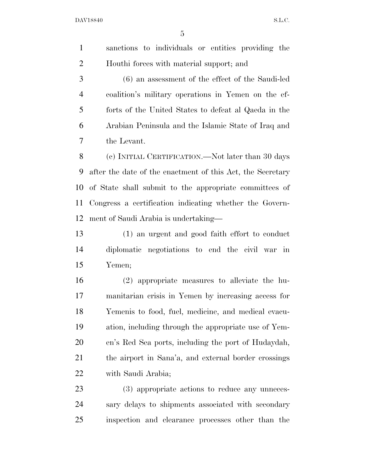sanctions to individuals or entities providing the Houthi forces with material support; and

 (6) an assessment of the effect of the Saudi-led coalition's military operations in Yemen on the ef- forts of the United States to defeat al Qaeda in the Arabian Peninsula and the Islamic State of Iraq and the Levant.

 (c) INITIAL CERTIFICATION.—Not later than 30 days after the date of the enactment of this Act, the Secretary of State shall submit to the appropriate committees of Congress a certification indicating whether the Govern-ment of Saudi Arabia is undertaking—

 (1) an urgent and good faith effort to conduct diplomatic negotiations to end the civil war in Yemen;

 (2) appropriate measures to alleviate the hu- manitarian crisis in Yemen by increasing access for Yemenis to food, fuel, medicine, and medical evacu- ation, including through the appropriate use of Yem- en's Red Sea ports, including the port of Hudaydah, the airport in Sana'a, and external border crossings with Saudi Arabia;

 (3) appropriate actions to reduce any unneces- sary delays to shipments associated with secondary inspection and clearance processes other than the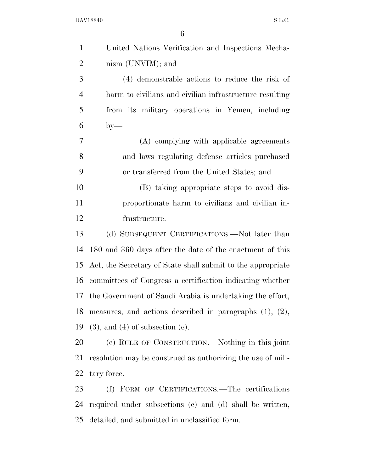| $\mathbf{1}$   | United Nations Verification and Inspections Mecha-            |
|----------------|---------------------------------------------------------------|
| $\overline{2}$ | nism (UNVIM); and                                             |
| 3              | (4) demonstrable actions to reduce the risk of                |
| $\overline{4}$ | harm to civilians and civilian infrastructure resulting       |
| 5              | from its military operations in Yemen, including              |
| 6              | $by-$                                                         |
| 7              | (A) complying with applicable agreements                      |
| 8              | and laws regulating defense articles purchased                |
| 9              | or transferred from the United States; and                    |
| 10             | (B) taking appropriate steps to avoid dis-                    |
| 11             | proportionate harm to civilians and civilian in-              |
| 12             | frastructure.                                                 |
| 13             | (d) SUBSEQUENT CERTIFICATIONS.—Not later than                 |
| 14             | 180 and 360 days after the date of the enactment of this      |
| 15             | Act, the Secretary of State shall submit to the appropriate   |
| 16             | committees of Congress a certification indicating whether     |
| 17             | the Government of Saudi Arabia is undertaking the effort,     |
| 18             | measures, and actions described in paragraphs $(1)$ , $(2)$ , |
| 19             | $(3)$ , and $(4)$ of subsection $(c)$ .                       |
| 20             | (e) RULE OF CONSTRUCTION.—Nothing in this joint               |
| 21             | resolution may be construed as authorizing the use of mili-   |
| 22             | tary force.                                                   |
| 23             | (f) FORM OF CERTIFICATIONS.—The certifications                |
| 24             | required under subsections (c) and (d) shall be written,      |

detailed, and submitted in unclassified form.